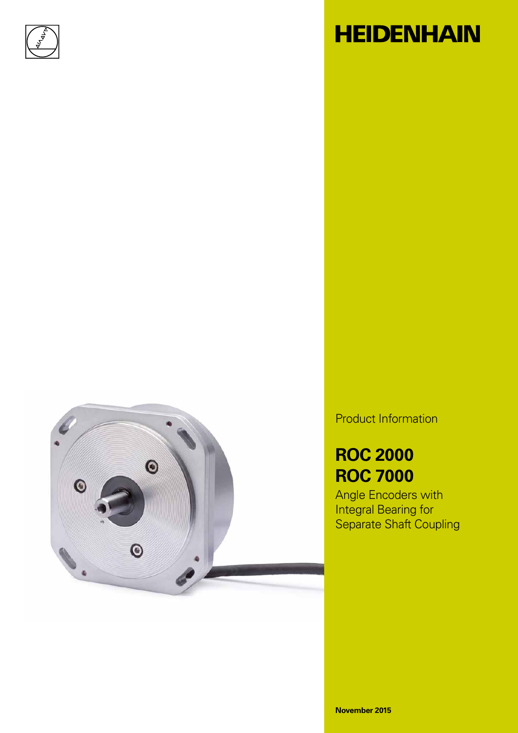

# **HEIDENHAIN**



Product Information

### **ROC 2000 ROC 7000**

Angle Encoders with Integral Bearing for Separate Shaft Coupling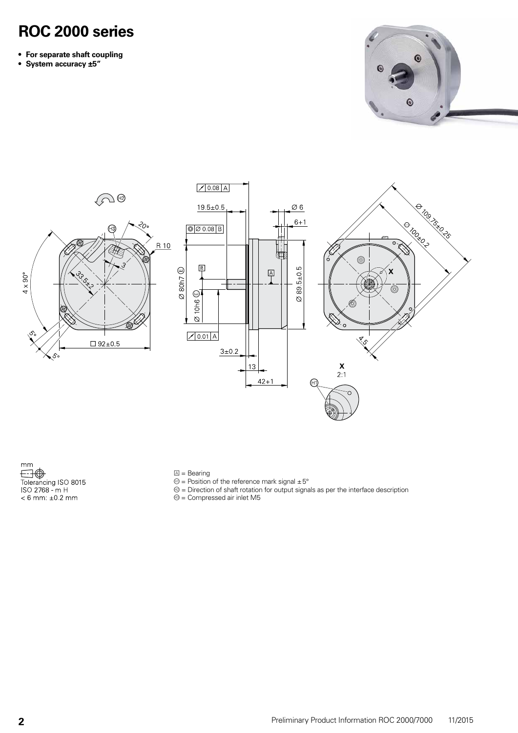### **ROC 2000 series**

- **• For separate shaft coupling**
- **• System accuracy ±5"**





 $mm$ The Tolerancing ISO 8015<br>
ISO 2768 - m H<br>
< 6 mm: ±0.2 mm

- $\mathbb{A}$  = Bearing
- $\Theta$  = Position of the reference mark signal  $\pm 5^{\circ}$
- $\Theta$  = Direction of shaft rotation for output signals as per the interface description

 $\circledcirc$  = Compressed air inlet M5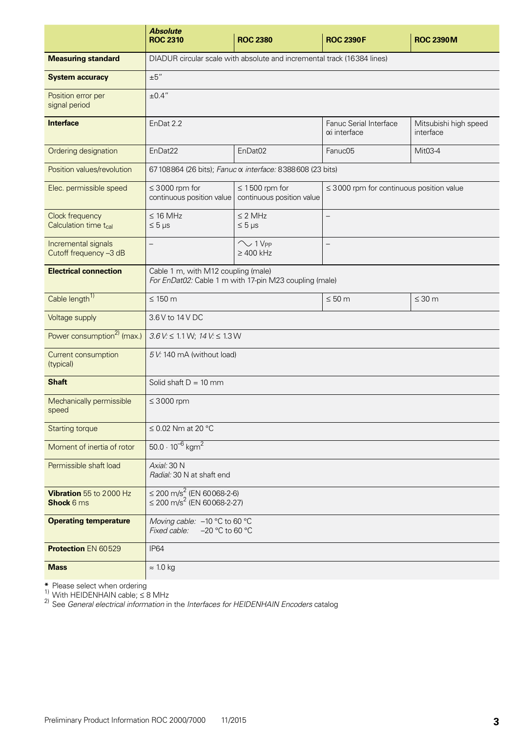|                                                      | <b>Absolute</b><br><b>ROC 2310</b>                                                            | <b>ROC 2380</b>                                                         | <b>ROC 2390F</b>                              | <b>ROC 2390M</b>                   |  |
|------------------------------------------------------|-----------------------------------------------------------------------------------------------|-------------------------------------------------------------------------|-----------------------------------------------|------------------------------------|--|
| <b>Measuring standard</b>                            |                                                                                               | DIADUR circular scale with absolute and incremental track (16384 lines) |                                               |                                    |  |
| <b>System accuracy</b>                               | ±5''                                                                                          |                                                                         |                                               |                                    |  |
| Position error per<br>signal period                  | ±0.4"                                                                                         |                                                                         |                                               |                                    |  |
| <b>Interface</b>                                     | EnDat 2.2                                                                                     |                                                                         | Fanuc Serial Interface<br>αi interface        | Mitsubishi high speed<br>interface |  |
| Ordering designation                                 | EnDat22                                                                                       | EnDat <sub>02</sub>                                                     | Fanuc05                                       | Mit03-4                            |  |
| Position values/revolution                           |                                                                                               | 67 108864 (26 bits); Fanuc α interface: 8388608 (23 bits)               |                                               |                                    |  |
| Elec. permissible speed                              | $\leq$ 3000 rpm for<br>continuous position value                                              | $\leq$ 1500 rpm for<br>continuous position value                        | $\leq$ 3000 rpm for continuous position value |                                    |  |
| Clock frequency<br>Calculation time t <sub>cal</sub> | $\leq$ 16 MHz<br>$\leq 5 \mu s$                                                               | $<$ 2 MHz<br>$\leq 5 \,\mu s$                                           |                                               |                                    |  |
| Incremental signals<br>Cutoff frequency -3 dB        |                                                                                               | $\sim$ 1 V <sub>PP</sub><br>$\geq 400$ kHz                              |                                               |                                    |  |
| <b>Electrical connection</b>                         | Cable 1 m, with M12 coupling (male)<br>For EnDat02: Cable 1 m with 17-pin M23 coupling (male) |                                                                         |                                               |                                    |  |
| Cable length <sup>1)</sup>                           | $\leq 150$ m                                                                                  |                                                                         | $\leq 50$ m                                   | $\leq 30$ m                        |  |
| Voltage supply                                       | 3.6 V to 14 V DC                                                                              |                                                                         |                                               |                                    |  |
| Power consumption <sup>2)</sup> (max.)               | $3.6$ V: $\leq 1.1$ W; $14$ V: $\leq 1.3$ W                                                   |                                                                         |                                               |                                    |  |
| Current consumption<br>(typical)                     | 5 V: 140 mA (without load)                                                                    |                                                                         |                                               |                                    |  |
| <b>Shaft</b>                                         | Solid shaft $D = 10$ mm                                                                       |                                                                         |                                               |                                    |  |
| Mechanically permissible<br>speed                    | $\leq 3000$ rpm                                                                               |                                                                         |                                               |                                    |  |
| <b>Starting torque</b>                               | $\leq$ 0.02 Nm at 20 °C                                                                       |                                                                         |                                               |                                    |  |
| Moment of inertia of rotor                           | 50.0 $\cdot$ 10 <sup>-6</sup> kgm <sup>2</sup>                                                |                                                                         |                                               |                                    |  |
| Permissible shaft load                               | Axial: 30 N<br>Radial: 30 N at shaft end                                                      |                                                                         |                                               |                                    |  |
| Vibration 55 to 2000 Hz<br>Shock 6 ms                | $\leq$ 200 m/s <sup>2</sup> (EN 60068-2-6)<br>$\leq$ 200 m/s <sup>2</sup> (EN 60068-2-27)     |                                                                         |                                               |                                    |  |
| <b>Operating temperature</b>                         | Moving cable: -10 °C to 60 °C<br>Fixed cable:<br>$-20$ °C to 60 °C                            |                                                                         |                                               |                                    |  |
| <b>Protection EN 60529</b>                           | <b>IP64</b>                                                                                   |                                                                         |                                               |                                    |  |
| <b>Mass</b>                                          | $\approx 1.0$ kg                                                                              |                                                                         |                                               |                                    |  |

**\*** Please select when ordering<br><sup>1)</sup> With HEIDENHAIN cable; ≤ 8 MHz

2) See *General electrical information* in the *Interfaces for HEIDENHAIN Encoders* catalog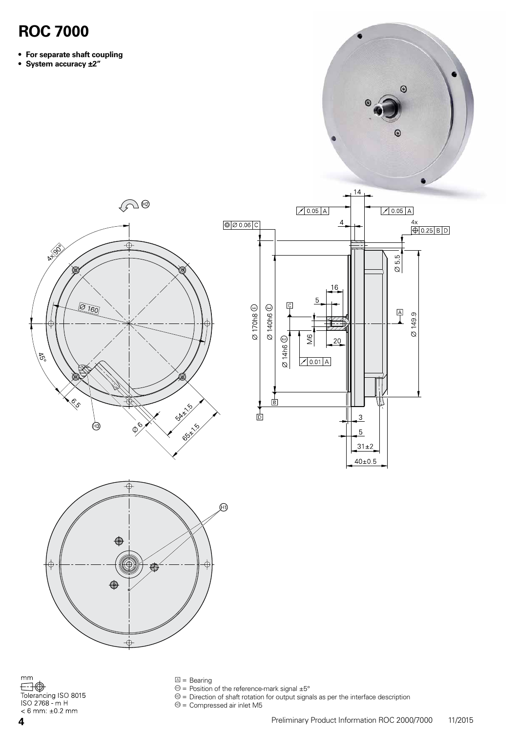#### **ROC 7000**

- **• For separate shaft coupling**
- **• System accuracy ±2"**





 $\mathsf{mm}$  $\bigoplus$ Tolerancing ISO 8015<br>ISO 2768 - m H  $< 6$  mm:  $±0.2$  mm

¢

⊕

 $\dot{\oplus}$ 

È

 $\mathbb{Z}$  = Bearing

€

- $\mathcal{D}$  = Position of the reference-mark signal  $\pm 5^{\circ}$
- $\circledcirc$  = Direction of shaft rotation for output signals as per the interface description

 $\circledcirc$  = Compressed air inlet M5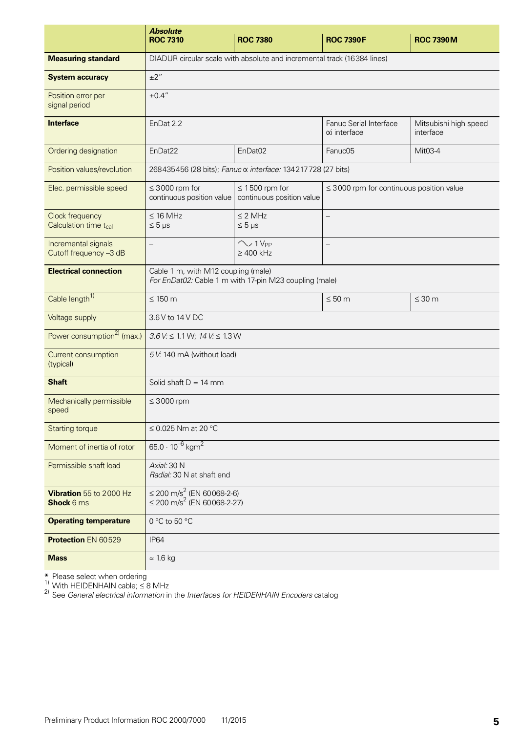|                                                      | <b>Absolute</b><br><b>ROC 7310</b>                                                            | <b>ROC 7380</b>                                                         | <b>ROC 7390F</b>                              | <b>ROC 7390M</b>                   |  |
|------------------------------------------------------|-----------------------------------------------------------------------------------------------|-------------------------------------------------------------------------|-----------------------------------------------|------------------------------------|--|
| <b>Measuring standard</b>                            |                                                                                               | DIADUR circular scale with absolute and incremental track (16384 lines) |                                               |                                    |  |
| <b>System accuracy</b>                               | $\pm 2$ "                                                                                     |                                                                         |                                               |                                    |  |
| Position error per<br>signal period                  | ±0.4"                                                                                         |                                                                         |                                               |                                    |  |
| <b>Interface</b>                                     | EnDat 2.2                                                                                     |                                                                         | Fanuc Serial Interface<br>αi interface        | Mitsubishi high speed<br>interface |  |
| Ordering designation                                 | EnDat22                                                                                       | EnDat <sub>02</sub>                                                     | Fanuc05                                       | Mit03-4                            |  |
| Position values/revolution                           |                                                                                               | 268435456 (28 bits); Fanuc α interface: 134217728 (27 bits)             |                                               |                                    |  |
| Elec. permissible speed                              | $\leq$ 3000 rpm for<br>continuous position value                                              | $\leq$ 1500 rpm for<br>continuous position value                        | $\leq$ 3000 rpm for continuous position value |                                    |  |
| Clock frequency<br>Calculation time t <sub>cal</sub> | $\leq$ 16 MHz<br>$\leq 5 \mu s$                                                               | $<$ 2 MHz<br>$\leq 5 \,\mu s$                                           |                                               |                                    |  |
| Incremental signals<br>Cutoff frequency -3 dB        | $\overline{\phantom{0}}$                                                                      | $\sim$ 1 V <sub>PP</sub><br>$\geq 400$ kHz                              | $\qquad \qquad -$                             |                                    |  |
| <b>Electrical connection</b>                         | Cable 1 m, with M12 coupling (male)<br>For EnDat02: Cable 1 m with 17-pin M23 coupling (male) |                                                                         |                                               |                                    |  |
| Cable length <sup>1)</sup>                           | $\leq 150$ m                                                                                  |                                                                         | $\leq 50$ m                                   | $\leq 30$ m                        |  |
| Voltage supply                                       | 3.6 V to 14 V DC                                                                              |                                                                         |                                               |                                    |  |
| Power consumption <sup>2)</sup> (max.)               | $3.6$ V: $\leq 1.1$ W; $14$ V: $\leq 1.3$ W                                                   |                                                                         |                                               |                                    |  |
| Current consumption<br>(typical)                     | 5 V: 140 mA (without load)                                                                    |                                                                         |                                               |                                    |  |
| <b>Shaft</b>                                         | Solid shaft $D = 14$ mm                                                                       |                                                                         |                                               |                                    |  |
| Mechanically permissible<br>speed                    | $\leq 3000$ rpm                                                                               |                                                                         |                                               |                                    |  |
| <b>Starting torque</b>                               | ≤ 0.025 Nm at 20 °C                                                                           |                                                                         |                                               |                                    |  |
| Moment of inertia of rotor                           | 65.0 $\cdot$ 10 <sup>-6</sup> kgm <sup>2</sup>                                                |                                                                         |                                               |                                    |  |
| Permissible shaft load                               | Axial: 30 N<br>Radial: 30 N at shaft end                                                      |                                                                         |                                               |                                    |  |
| Vibration 55 to 2000 Hz<br>Shock 6 ms                | $\leq$ 200 m/s <sup>2</sup> (EN 60068-2-6)<br>$\leq$ 200 m/s <sup>2</sup> (EN 60068-2-27)     |                                                                         |                                               |                                    |  |
| <b>Operating temperature</b>                         | 0 °C to 50 °C                                                                                 |                                                                         |                                               |                                    |  |
| <b>Protection EN 60529</b>                           | <b>IP64</b>                                                                                   |                                                                         |                                               |                                    |  |
| <b>Mass</b>                                          | $\approx$ 1.6 kg                                                                              |                                                                         |                                               |                                    |  |

**\*** Please select when ordering<br><sup>1)</sup> With HEIDENHAIN cable; ≤ 8 MHz

2) See *General electrical information* in the *Interfaces for HEIDENHAIN Encoders* catalog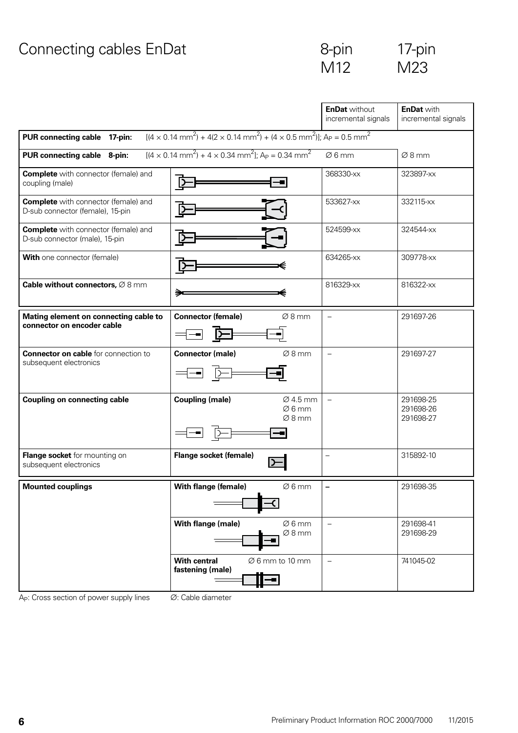## Connecting cables EnDat 6-pin 17-pin

| 8-pin           | $17-pi$ |
|-----------------|---------|
| M <sub>12</sub> | M23     |

|                                                                                                                                                             |                                                                                                       | <b>EnDat without</b><br>incremental signals | <b>EnDat with</b><br>incremental signals |  |  |  |
|-------------------------------------------------------------------------------------------------------------------------------------------------------------|-------------------------------------------------------------------------------------------------------|---------------------------------------------|------------------------------------------|--|--|--|
| $[ (4 \times 0.14 \text{ mm}^2) + 4(2 \times 0.14 \text{ mm}^2) + (4 \times 0.5 \text{ mm}^2) ]$ ; Ap = 0.5 mm <sup>2</sup><br>PUR connecting cable 17-pin: |                                                                                                       |                                             |                                          |  |  |  |
| PUR connecting cable 8-pin:                                                                                                                                 | $[(4 \times 0.14 \text{ mm}^2) + 4 \times 0.34 \text{ mm}^2]$ ; A <sub>P</sub> = 0.34 mm <sup>2</sup> | Ø6mm                                        | Ø8mm                                     |  |  |  |
| <b>Complete</b> with connector (female) and<br>coupling (male)                                                                                              |                                                                                                       | 368330-xx                                   | 323897-xx                                |  |  |  |
| <b>Complete</b> with connector (female) and<br>D-sub connector (female), 15-pin                                                                             |                                                                                                       | 533627-xx                                   | 332115-xx                                |  |  |  |
| <b>Complete</b> with connector (female) and<br>D-sub connector (male), 15-pin                                                                               |                                                                                                       | 524599-xx                                   | 324544-xx                                |  |  |  |
| <b>With one connector (female)</b>                                                                                                                          |                                                                                                       | 634265-xx                                   | 309778-xx                                |  |  |  |
| Cable without connectors, $\varnothing$ 8 mm                                                                                                                | ∍                                                                                                     | 816329-xx                                   | 816322-xx                                |  |  |  |
| Mating element on connecting cable to<br>connector on encoder cable                                                                                         | <b>Connector (female)</b><br>Ø8mm                                                                     | $\overline{\phantom{0}}$                    | 291697-26                                |  |  |  |
| <b>Connector on cable</b> for connection to<br>subsequent electronics                                                                                       | <b>Connector (male)</b><br>$\varnothing$ 8 mm                                                         | $\equiv$                                    | 291697-27                                |  |  |  |
| <b>Coupling on connecting cable</b>                                                                                                                         | <b>Coupling (male)</b><br>$\varnothing$ 4.5 mm<br>$\varnothing$ 6 mm<br>$\varnothing$ 8 mm            | $\overline{\phantom{0}}$                    | 291698-25<br>291698-26<br>291698-27      |  |  |  |
| Flange socket for mounting on<br>subsequent electronics                                                                                                     | Flange socket (female)<br>כו                                                                          | $\equiv$                                    | 315892-10                                |  |  |  |
| <b>Mounted couplings</b>                                                                                                                                    | <b>With flange (female)</b><br>$\varnothing$ 6 mm                                                     |                                             | 291698-35                                |  |  |  |
|                                                                                                                                                             | With flange (male)<br>$\varnothing$ 6 mm<br>Ø8mm                                                      | $\equiv$                                    | 291698-41<br>291698-29                   |  |  |  |
|                                                                                                                                                             | <b>With central</b><br>$\varnothing$ 6 mm to 10 mm<br>fastening (male)                                | $\overline{\phantom{0}}$                    | 741045-02                                |  |  |  |

 $\overline{A}_P$ : Cross section of power supply lines  $\overline{O}$ : Cable diameter